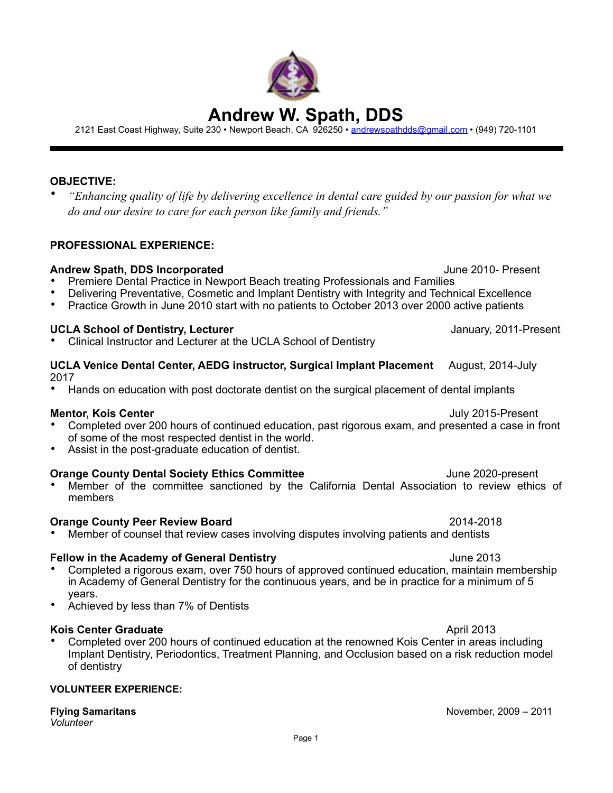# **Andrew W. Spath, DDS**

2121 East Coast Highway, Suite 230 • Newport Beach, CA 926250 • [andrewspathdds@gmail.com](mailto:andrewspathdds@gmail.com) • (949) 720-1101

#### **OBJECTIVE:**

• *"Enhancing quality of life by delivering excellence in dental care guided by our passion for what we do and our desire to care for each person like family and friends."*

#### **PROFESSIONAL EXPERIENCE:**

#### **Andrew Spath, DDS Incorporated** June 2010- Present

- Premiere Dental Practice in Newport Beach treating Professionals and Families
- Delivering Preventative, Cosmetic and Implant Dentistry with Integrity and Technical Excellence
- Practice Growth in June 2010 start with no patients to October 2013 over 2000 active patients

#### **UCLA School of Dentistry, Lecturer** January, 2011-Present

• Clinical Instructor and Lecturer at the UCLA School of Dentistry

### **UCLA Venice Dental Center, AEDG instructor, Surgical Implant Placement** August, 2014-July 2017

• Hands on education with post doctorate dentist on the surgical placement of dental implants

#### **Mentor, Kois Center** July 2015-Present

- Completed over 200 hours of continued education, past rigorous exam, and presented a case in front of some of the most respected dentist in the world.
- Assist in the post-graduate education of dentist.

#### **Orange County Dental Society Ethics Committee** *June 2020-present*

• Member of the committee sanctioned by the California Dental Association to review ethics of members

#### **Orange County Peer Review Board**  2014-2018

• Member of counsel that review cases involving disputes involving patients and dentists

#### **Fellow in the Academy of General Dentistry**  The Controllery of the 2013

- Completed a rigorous exam, over 750 hours of approved continued education, maintain membership in Academy of General Dentistry for the continuous years, and be in practice for a minimum of 5 years.
- Achieved by less than 7% of Dentists

#### **Kois Center Graduate**  April 2013

• Completed over 200 hours of continued education at the renowned Kois Center in areas including Implant Dentistry, Periodontics, Treatment Planning, and Occlusion based on a risk reduction model of dentistry

#### **VOLUNTEER EXPERIENCE:**

## **Flying Samaritans November, 2009 – 2011**

*Volunteer*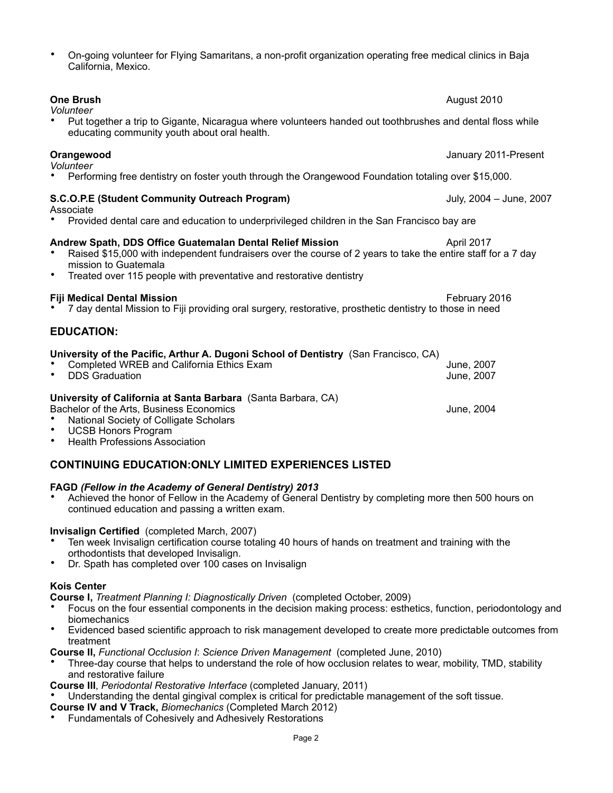#### • On-going volunteer for Flying Samaritans, a non-profit organization operating free medical clinics in Baja California, Mexico.

*Volunteer*  • Performing free dentistry on foster youth through the Orangewood Foundation totaling over \$15,000. **S.C.O.P.E (Student Community Outreach Program)** July, 2004 – June, 2007 Associate • Provided dental care and education to underprivileged children in the San Francisco bay are **Andrew Spath, DDS Office Guatemalan Dental Relief Mission** *Ammunia* **April 2017** • Raised \$15,000 with independent fundraisers over the course of 2 years to take the entire staff for a 7 day mission to Guatemala • Treated over 115 people with preventative and restorative dentistry **Fiji Medical Dental Mission** *February* **2016** • 7 day dental Mission to Fiji providing oral surgery, restorative, prosthetic dentistry to those in need **EDUCATION: University of the Pacific, Arthur A. Dugoni School of Dentistry** (San Francisco, CA) • Completed WREB and California Ethics Exam June, 2007 DDS Graduation **University of California at Santa Barbara** (Santa Barbara, CA) Bachelor of the Arts, Business Economics **State and State and State Arts** June, 2004 • National Society of Colligate Scholars • UCSB Honors Program

• Health Professions Association

#### **CONTINUING EDUCATION:ONLY LIMITED EXPERIENCES LISTED**

#### **FAGD** *(Fellow in the Academy of General Dentistry) 2013*

• Achieved the honor of Fellow in the Academy of General Dentistry by completing more then 500 hours on continued education and passing a written exam.

#### **Invisalign Certified** (completed March, 2007)

- Ten week Invisalign certification course totaling 40 hours of hands on treatment and training with the orthodontists that developed Invisalign.
- Dr. Spath has completed over 100 cases on Invisalign

#### **Kois Center**

**Course I,** *Treatment Planning I: Diagnostically Driven* (completed October, 2009)

- Focus on the four essential components in the decision making process: esthetics, function, periodontology and biomechanics
- Evidenced based scientific approach to risk management developed to create more predictable outcomes from treatment

**Course II,** *Functional Occlusion I*: *Science Driven Management* (completed June, 2010)

• Three-day course that helps to understand the role of how occlusion relates to wear, mobility, TMD, stability and restorative failure

**Course III**, *Periodontal Restorative Interface* (completed January, 2011)

- Understanding the dental gingival complex is critical for predictable management of the soft tissue.
- **Course IV and V Track,** *Biomechanics* (Completed March 2012)
- Fundamentals of Cohesively and Adhesively Restorations

#### **One Brush** August 2010

*Volunteer* 

• Put together a trip to Gigante, Nicaragua where volunteers handed out toothbrushes and dental floss while educating community youth about oral health.

**Orangewood** January 2011-Present